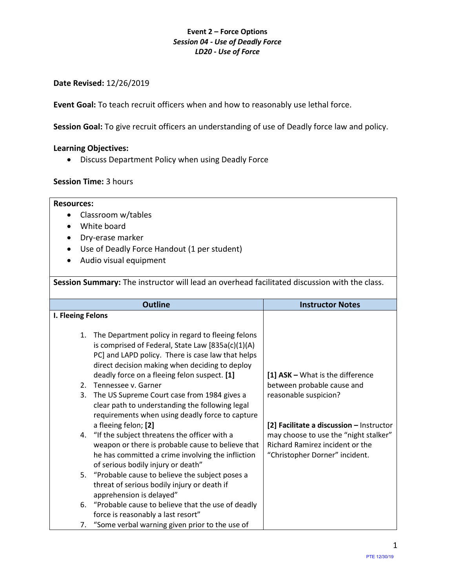## **Date Revised:** 12/26/2019

**Event Goal:** To teach recruit officers when and how to reasonably use lethal force.

**Session Goal:** To give recruit officers an understanding of use of Deadly force law and policy.

### **Learning Objectives:**

• Discuss Department Policy when using Deadly Force

## **Session Time:** 3 hours

#### **Resources:**

- Classroom w/tables
- White board
- Dry-erase marker
- Use of Deadly Force Handout (1 per student)
- Audio visual equipment

**Session Summary:** The instructor will lead an overhead facilitated discussion with the class.

| <b>Outline</b>    |                                                                                                                                                                                                                  | <b>Instructor Notes</b>                                                                                    |
|-------------------|------------------------------------------------------------------------------------------------------------------------------------------------------------------------------------------------------------------|------------------------------------------------------------------------------------------------------------|
| I. Fleeing Felons |                                                                                                                                                                                                                  |                                                                                                            |
| 1.                | The Department policy in regard to fleeing felons<br>is comprised of Federal, State Law $[835a(c)(1)(A)]$<br>PC] and LAPD policy. There is case law that helps<br>direct decision making when deciding to deploy |                                                                                                            |
| 2.                | deadly force on a fleeing felon suspect. [1]<br>Tennessee v. Garner                                                                                                                                              | [1] $ASK - What is the difference$<br>between probable cause and                                           |
| 3.                | The US Supreme Court case from 1984 gives a<br>clear path to understanding the following legal<br>requirements when using deadly force to capture                                                                | reasonable suspicion?                                                                                      |
|                   | a fleeing felon; [2]                                                                                                                                                                                             | [2] Facilitate a discussion - Instructor                                                                   |
|                   | 4. "If the subject threatens the officer with a<br>weapon or there is probable cause to believe that<br>he has committed a crime involving the infliction<br>of serious bodily injury or death"                  | may choose to use the "night stalker"<br>Richard Ramirez incident or the<br>"Christopher Dorner" incident. |
|                   | 5. "Probable cause to believe the subject poses a<br>threat of serious bodily injury or death if<br>apprehension is delayed"                                                                                     |                                                                                                            |
|                   | 6. "Probable cause to believe that the use of deadly<br>force is reasonably a last resort"                                                                                                                       |                                                                                                            |
|                   | 7. "Some verbal warning given prior to the use of                                                                                                                                                                |                                                                                                            |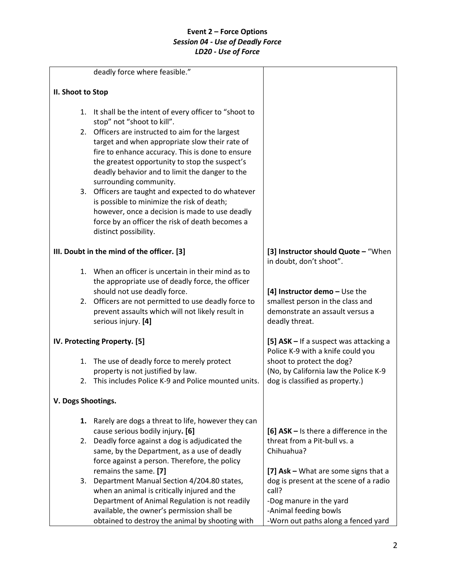|                    | deadly force where feasible."                                                      |                                        |
|--------------------|------------------------------------------------------------------------------------|----------------------------------------|
| II. Shoot to Stop  |                                                                                    |                                        |
|                    |                                                                                    |                                        |
| 1.                 | It shall be the intent of every officer to "shoot to<br>stop" not "shoot to kill". |                                        |
|                    | 2. Officers are instructed to aim for the largest                                  |                                        |
|                    | target and when appropriate slow their rate of                                     |                                        |
|                    | fire to enhance accuracy. This is done to ensure                                   |                                        |
|                    | the greatest opportunity to stop the suspect's                                     |                                        |
|                    | deadly behavior and to limit the danger to the                                     |                                        |
|                    | surrounding community.                                                             |                                        |
|                    | 3. Officers are taught and expected to do whatever                                 |                                        |
|                    | is possible to minimize the risk of death;                                         |                                        |
|                    | however, once a decision is made to use deadly                                     |                                        |
|                    | force by an officer the risk of death becomes a                                    |                                        |
|                    | distinct possibility.                                                              |                                        |
|                    | III. Doubt in the mind of the officer. [3]                                         | [3] Instructor should Quote - "When    |
|                    |                                                                                    | in doubt, don't shoot".                |
|                    | 1. When an officer is uncertain in their mind as to                                |                                        |
|                    | the appropriate use of deadly force, the officer                                   |                                        |
|                    | should not use deadly force.                                                       | [4] Instructor demo $-$ Use the        |
|                    | 2. Officers are not permitted to use deadly force to                               | smallest person in the class and       |
|                    | prevent assaults which will not likely result in                                   | demonstrate an assault versus a        |
|                    | serious injury. [4]                                                                | deadly threat.                         |
|                    | IV. Protecting Property. [5]                                                       | [5] ASK - If a suspect was attacking a |
|                    |                                                                                    | Police K-9 with a knife could you      |
| 1.                 | The use of deadly force to merely protect                                          | shoot to protect the dog?              |
|                    | property is not justified by law.                                                  | (No, by California law the Police K-9  |
| 2.                 | This includes Police K-9 and Police mounted units.                                 | dog is classified as property.)        |
| V. Dogs Shootings. |                                                                                    |                                        |
| 1.                 | Rarely are dogs a threat to life, however they can                                 |                                        |
|                    | cause serious bodily injury. [6]                                                   | [6] ASK - Is there a difference in the |
| 2.                 | Deadly force against a dog is adjudicated the                                      | threat from a Pit-bull vs. a           |
|                    | same, by the Department, as a use of deadly                                        | Chihuahua?                             |
|                    | force against a person. Therefore, the policy                                      |                                        |
|                    | remains the same. [7]                                                              | [7] Ask - What are some signs that a   |
| 3.                 | Department Manual Section 4/204.80 states,                                         | dog is present at the scene of a radio |
|                    | when an animal is critically injured and the                                       | call?                                  |
|                    | Department of Animal Regulation is not readily                                     | -Dog manure in the yard                |
|                    | available, the owner's permission shall be                                         | -Animal feeding bowls                  |
|                    | obtained to destroy the animal by shooting with                                    | -Worn out paths along a fenced yard    |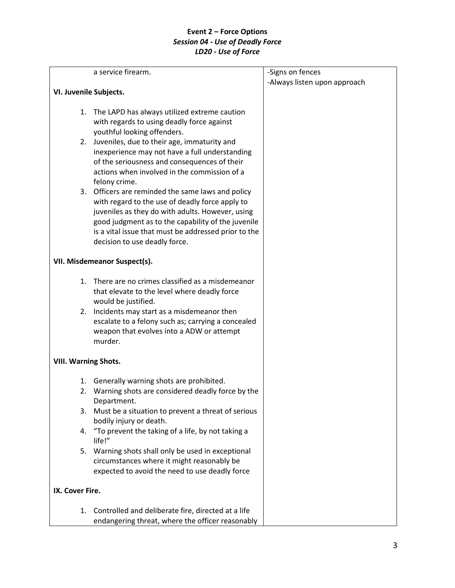|                             | a service firearm.                                                                                                                                                                                                                                                                                      | -Signs on fences<br>-Always listen upon approach |
|-----------------------------|---------------------------------------------------------------------------------------------------------------------------------------------------------------------------------------------------------------------------------------------------------------------------------------------------------|--------------------------------------------------|
| VI. Juvenile Subjects.      |                                                                                                                                                                                                                                                                                                         |                                                  |
|                             | 1. The LAPD has always utilized extreme caution<br>with regards to using deadly force against                                                                                                                                                                                                           |                                                  |
|                             | youthful looking offenders.<br>2. Juveniles, due to their age, immaturity and<br>inexperience may not have a full understanding<br>of the seriousness and consequences of their<br>actions when involved in the commission of a<br>felony crime.                                                        |                                                  |
|                             | 3. Officers are reminded the same laws and policy<br>with regard to the use of deadly force apply to<br>juveniles as they do with adults. However, using<br>good judgment as to the capability of the juvenile<br>is a vital issue that must be addressed prior to the<br>decision to use deadly force. |                                                  |
|                             | VII. Misdemeanor Suspect(s).                                                                                                                                                                                                                                                                            |                                                  |
|                             | 1. There are no crimes classified as a misdemeanor<br>that elevate to the level where deadly force<br>would be justified.                                                                                                                                                                               |                                                  |
|                             | 2. Incidents may start as a misdemeanor then<br>escalate to a felony such as; carrying a concealed<br>weapon that evolves into a ADW or attempt<br>murder.                                                                                                                                              |                                                  |
| <b>VIII. Warning Shots.</b> |                                                                                                                                                                                                                                                                                                         |                                                  |
| 1.<br>2.<br>3.              | Generally warning shots are prohibited.<br>Warning shots are considered deadly force by the<br>Department.<br>Must be a situation to prevent a threat of serious                                                                                                                                        |                                                  |
| 4.                          | bodily injury or death.<br>"To prevent the taking of a life, by not taking a                                                                                                                                                                                                                            |                                                  |
| 5.                          | life!"<br>Warning shots shall only be used in exceptional<br>circumstances where it might reasonably be<br>expected to avoid the need to use deadly force                                                                                                                                               |                                                  |
| IX. Cover Fire.             |                                                                                                                                                                                                                                                                                                         |                                                  |
| 1.                          | Controlled and deliberate fire, directed at a life<br>endangering threat, where the officer reasonably                                                                                                                                                                                                  |                                                  |